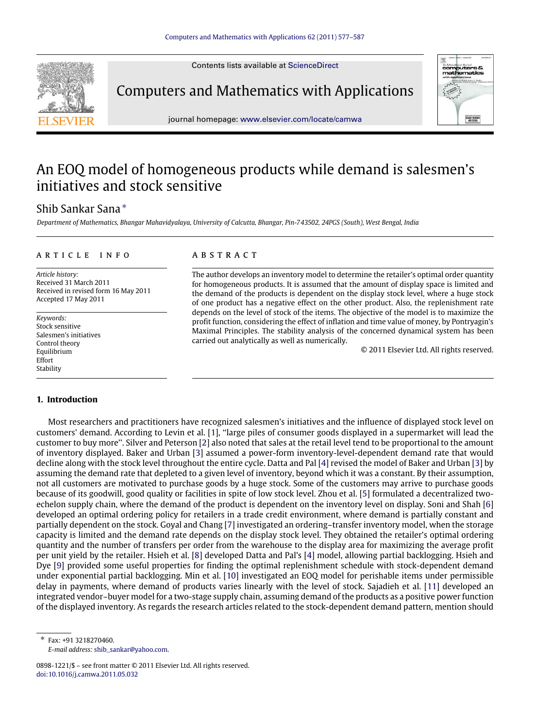Contents lists available at [ScienceDirect](http://www.elsevier.com/locate/camwa)



Computers and Mathematics with Applications



journal homepage: [www.elsevier.com/locate/camwa](http://www.elsevier.com/locate/camwa)

# An EOQ model of homogeneous products while demand is salesmen's initiatives and stock sensitive

## Shib Sankar Sana [∗](#page-0-0)

*Department of Mathematics, Bhangar Mahavidyalaya, University of Calcutta, Bhangar, Pin-743502, 24PGS (South), West Bengal, India*

#### a r t i c l e i n f o

*Article history:* Received 31 March 2011 Received in revised form 16 May 2011 Accepted 17 May 2011

*Keywords:* Stock sensitive Salesmen's initiatives Control theory Equilibrium Effort Stability

## **1. Introduction**

## a b s t r a c t

The author develops an inventory model to determine the retailer's optimal order quantity for homogeneous products. It is assumed that the amount of display space is limited and the demand of the products is dependent on the display stock level, where a huge stock of one product has a negative effect on the other product. Also, the replenishment rate depends on the level of stock of the items. The objective of the model is to maximize the profit function, considering the effect of inflation and time value of money, by Pontryagin's Maximal Principles. The stability analysis of the concerned dynamical system has been carried out analytically as well as numerically.

© 2011 Elsevier Ltd. All rights reserved.

Most researchers and practitioners have recognized salesmen's initiatives and the influence of displayed stock level on customers' demand. According to Levin et al. [\[1\]](#page-9-0), ''large piles of consumer goods displayed in a supermarket will lead the customer to buy more''. Silver and Peterson [\[2\]](#page-9-1) also noted that sales at the retail level tend to be proportional to the amount of inventory displayed. Baker and Urban [\[3\]](#page-9-2) assumed a power-form inventory-level-dependent demand rate that would decline along with the stock level throughout the entire cycle. Datta and Pal [\[4\]](#page-9-3) revised the model of Baker and Urban [\[3\]](#page-9-2) by assuming the demand rate that depleted to a given level of inventory, beyond which it was a constant. By their assumption, not all customers are motivated to purchase goods by a huge stock. Some of the customers may arrive to purchase goods because of its goodwill, good quality or facilities in spite of low stock level. Zhou et al. [\[5\]](#page-9-4) formulated a decentralized twoechelon supply chain, where the demand of the product is dependent on the inventory level on display. Soni and Shah [\[6\]](#page-9-5) developed an optimal ordering policy for retailers in a trade credit environment, where demand is partially constant and partially dependent on the stock. Goyal and Chang [\[7\]](#page-9-6) investigated an ordering–transfer inventory model, when the storage capacity is limited and the demand rate depends on the display stock level. They obtained the retailer's optimal ordering quantity and the number of transfers per order from the warehouse to the display area for maximizing the average profit per unit yield by the retailer. Hsieh et al. [\[8\]](#page-9-7) developed Datta and Pal's [\[4\]](#page-9-3) model, allowing partial backlogging. Hsieh and Dye [\[9\]](#page-9-8) provided some useful properties for finding the optimal replenishment schedule with stock-dependent demand under exponential partial backlogging. Min et al. [\[10\]](#page-9-9) investigated an EOQ model for perishable items under permissible delay in payments, where demand of products varies linearly with the level of stock. Sajadieh et al. [\[11\]](#page-9-10) developed an integrated vendor–buyer model for a two-stage supply chain, assuming demand of the products as a positive power function of the displayed inventory. As regards the research articles related to the stock-dependent demand pattern, mention should

<span id="page-0-0"></span>∗ Fax: +91 3218270460. *E-mail address:* [shib\\_sankar@yahoo.com.](mailto:shib_sankar@yahoo.com)

<sup>0898-1221/\$ –</sup> see front matter © 2011 Elsevier Ltd. All rights reserved. [doi:10.1016/j.camwa.2011.05.032](http://dx.doi.org/10.1016/j.camwa.2011.05.032)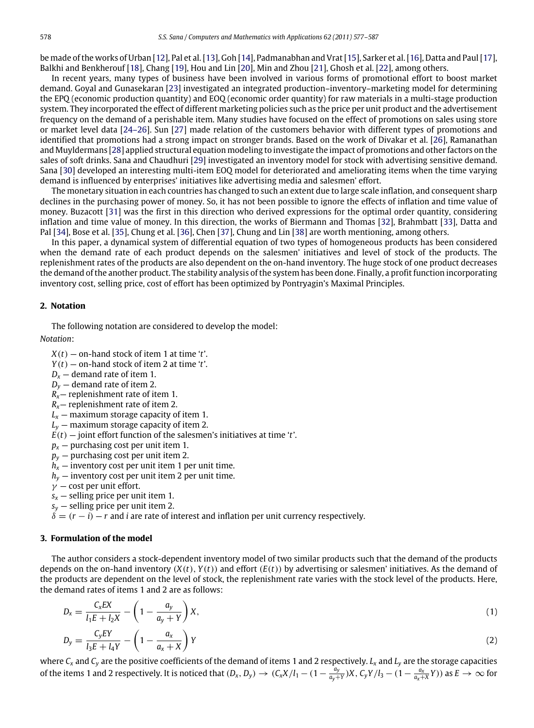be made of the works of Urban [\[12\]](#page-9-11), Pal et al. [\[13\]](#page-9-12), Goh [\[14\]](#page-9-13), Padmanabhan and Vrat [\[15\]](#page-9-14), Sarker et al. [\[16\]](#page-9-15), Datta and Paul [\[17\]](#page-9-16), Balkhi and Benkherouf [\[18\]](#page-9-17), Chang [\[19\]](#page-9-18), Hou and Lin [\[20\]](#page-9-19), Min and Zhou [\[21\]](#page-9-20), Ghosh et al. [\[22\]](#page-9-21), among others.

In recent years, many types of business have been involved in various forms of promotional effort to boost market demand. Goyal and Gunasekaran [\[23\]](#page-9-22) investigated an integrated production–inventory–marketing model for determining the EPQ (economic production quantity) and EOQ (economic order quantity) for raw materials in a multi-stage production system. They incorporated the effect of different marketing policies such as the price per unit product and the advertisement frequency on the demand of a perishable item. Many studies have focused on the effect of promotions on sales using store or market level data [\[24–26\]](#page-9-23). Sun [\[27\]](#page-9-24) made relation of the customers behavior with different types of promotions and identified that promotions had a strong impact on stronger brands. Based on the work of Divakar et al. [\[26\]](#page-9-25), Ramanathan and Muyldermans [\[28\]](#page-9-26) applied structural equation modeling to investigate the impact of promotions and other factors on the sales of soft drinks. Sana and Chaudhuri [\[29\]](#page-9-27) investigated an inventory model for stock with advertising sensitive demand. Sana [\[30\]](#page-9-28) developed an interesting multi-item EOQ model for deteriorated and ameliorating items when the time varying demand is influenced by enterprises' initiatives like advertising media and salesmen' effort.

The monetary situation in each countries has changed to such an extent due to large scale inflation, and consequent sharp declines in the purchasing power of money. So, it has not been possible to ignore the effects of inflation and time value of money. Buzacott [\[31\]](#page-9-29) was the first in this direction who derived expressions for the optimal order quantity, considering inflation and time value of money. In this direction, the works of Biermann and Thomas [\[32\]](#page-9-30), Brahmbatt [\[33\]](#page-9-31), Datta and Pal [\[34\]](#page-9-32), Bose et al. [\[35\]](#page-9-33), Chung et al. [\[36\]](#page-10-0), Chen [\[37\]](#page-10-1), Chung and Lin [\[38\]](#page-10-2) are worth mentioning, among others.

In this paper, a dynamical system of differential equation of two types of homogeneous products has been considered when the demand rate of each product depends on the salesmen' initiatives and level of stock of the products. The replenishment rates of the products are also dependent on the on-hand inventory. The huge stock of one product decreases the demand of the another product. The stability analysis of the system has been done. Finally, a profit function incorporating inventory cost, selling price, cost of effort has been optimized by Pontryagin's Maximal Principles.

#### **2. Notation**

The following notation are considered to develop the model:

*Notation*:

- *X*(*t*) on-hand stock of item 1 at time '*t*'.
- *Y*(*t*) on-hand stock of item 2 at time '*t*'.
- $D_x$  demand rate of item 1.
- $D<sub>y</sub>$  demand rate of item 2.
- $R_{x}$  replenishment rate of item 1.
- *Rx* replenishment rate of item 2.
- $L<sub>x</sub>$  maximum storage capacity of item 1.
- $L<sub>y</sub>$  maximum storage capacity of item 2.
- $E(t)$  joint effort function of the salesmen's initiatives at time '*t*'.
- $p_{x}$  purchasing cost per unit item 1.
- *p<sup>y</sup>* purchasing cost per unit item 2.
- $h<sub>x</sub>$  inventory cost per unit item 1 per unit time.
- *h<sup>y</sup>* inventory cost per unit item 2 per unit time.
- $\gamma$  cost per unit effort.
- $s_x$  selling price per unit item 1.
- $s_y$  selling price per unit item 2.
- $\delta = (r i) r$  and *i* are rate of interest and inflation per unit currency respectively.

#### **3. Formulation of the model**

The author considers a stock-dependent inventory model of two similar products such that the demand of the products depends on the on-hand inventory  $(X(t), Y(t))$  and effort  $(E(t))$  by advertising or salesmen' initiatives. As the demand of the products are dependent on the level of stock, the replenishment rate varies with the stock level of the products. Here, the demand rates of items 1 and 2 are as follows:

$$
D_x = \frac{C_x EX}{l_1 E + l_2 X} - \left(1 - \frac{a_y}{a_y + Y}\right) X,\tag{1}
$$

$$
D_y = \frac{C_y EY}{l_3 E + l_4 Y} - \left(1 - \frac{a_x}{a_x + X}\right) Y
$$
\n<sup>(2)</sup>

where *C<sup>x</sup>* and *C<sup>y</sup>* are the positive coefficients of the demand of items 1 and 2 respectively. *L<sup>x</sup>* and *L<sup>y</sup>* are the storage capacities of the items 1 and 2 respectively. It is noticed that  $(D_x, D_y) \to (C_x X/l_1 - (1 - \frac{a_y}{a_y + Y})X, C_y Y/l_3 - (1 - \frac{a_x}{a_x + X}Y))$  as  $E \to \infty$  for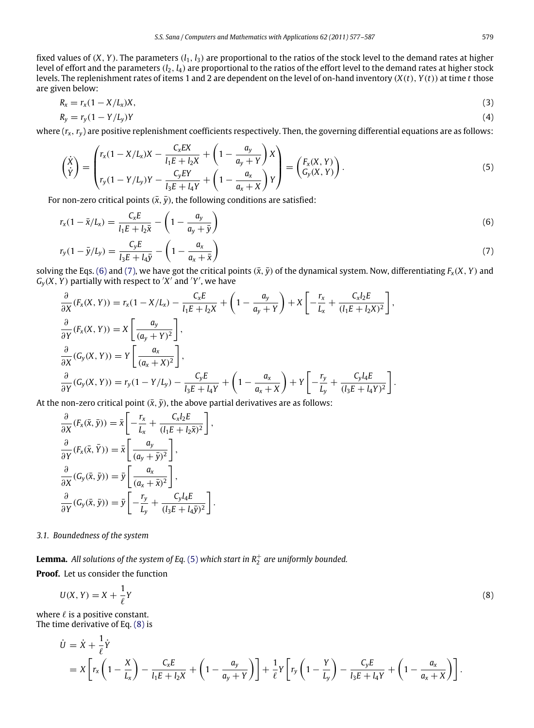fixed values of  $(X, Y)$ . The parameters  $(l_1, l_3)$  are proportional to the ratios of the stock level to the demand rates at higher level of effort and the parameters  $(l_2, l_4)$  are proportional to the ratios of the effort level to the demand rates at higher stock levels. The replenishment rates of items 1 and 2 are dependent on the level of on-hand inventory (*X*(*t*), *Y*(*t*)) at time *t* those are given below:

$$
R_x = r_x (1 - X/L_x) X,\tag{3}
$$

$$
R_y = r_y(1 - Y/L_y)Y\tag{4}
$$

where  $(r_x, r_y)$  are positive replenishment coefficients respectively. Then, the governing differential equations are as follows:

<span id="page-2-2"></span>
$$
\begin{pmatrix} \dot{x} \\ \dot{y} \end{pmatrix} = \begin{pmatrix} r_x(1 - X/L_x)X - \frac{C_xEX}{l_1E + l_2X} + \left(1 - \frac{a_y}{a_y + Y}\right)X \\ r_y(1 - Y/L_y)Y - \frac{C_yEY}{l_3E + l_4Y} + \left(1 - \frac{a_x}{a_x + X}\right)Y \end{pmatrix} = \begin{pmatrix} F_x(X, Y) \\ G_y(X, Y) \end{pmatrix}.
$$
\n(5)

For non-zero critical points  $(\bar{x}, \bar{y})$ , the following conditions are satisfied:

$$
r_x(1 - \bar{x}/L_x) = \frac{C_x E}{l_1 E + l_2 \bar{x}} - \left(1 - \frac{a_y}{a_y + \bar{y}}\right)
$$
(6)

$$
r_{y}(1 - \bar{y}/L_{y}) = \frac{C_{y}E}{l_{3}E + l_{4}\bar{y}} - \left(1 - \frac{a_{x}}{a_{x} + \bar{x}}\right)
$$
\n(7)

solving the Eqs. [\(6\)](#page-2-0) and [\(7\),](#page-2-1) we have got the critical points  $(\bar{x}, \bar{y})$  of the dynamical system. Now, differentiating  $F_x(X, Y)$  and  $G_y(X, Y)$  partially with respect to  $'X'$  and  $'Y'$ , we have

$$
\frac{\partial}{\partial X}(F_X(X, Y)) = r_X(1 - X/L_X) - \frac{C_x E}{l_1 E + l_2 X} + \left(1 - \frac{a_y}{a_y + Y}\right) + X\left[-\frac{r_X}{L_x} + \frac{C_x l_2 E}{(l_1 E + l_2 X)^2}\right],
$$
\n
$$
\frac{\partial}{\partial Y}(F_X(X, Y)) = X\left[\frac{a_y}{(a_y + Y)^2}\right],
$$
\n
$$
\frac{\partial}{\partial X}(G_y(X, Y)) = Y\left[\frac{a_x}{(a_x + X)^2}\right],
$$
\n
$$
\frac{\partial}{\partial Y}(G_y(X, Y)) = r_y(1 - Y/L_y) - \frac{C_y E}{l_3 E + l_4 Y} + \left(1 - \frac{a_x}{a_x + X}\right) + Y\left[-\frac{r_y}{L_y} + \frac{C_y l_4 E}{(l_3 E + l_4 Y)^2}\right].
$$

At the non-zero critical point  $(\bar{x}, \bar{y})$ , the above partial derivatives are as follows:

$$
\frac{\partial}{\partial X}(F_X(\bar{x}, \bar{y})) = \bar{x} \left[ -\frac{r_x}{L_x} + \frac{C_x l_2 E}{(l_1 E + l_2 \bar{x})^2} \right],
$$
  

$$
\frac{\partial}{\partial Y}(F_X(\bar{x}, \bar{Y})) = \bar{x} \left[ \frac{a_y}{(a_y + \bar{y})^2} \right],
$$
  

$$
\frac{\partial}{\partial X}(G_y(\bar{x}, \bar{y})) = \bar{y} \left[ \frac{a_x}{(a_x + \bar{x})^2} \right],
$$
  

$$
\frac{\partial}{\partial Y}(G_y(\bar{x}, \bar{y})) = \bar{y} \left[ -\frac{r_y}{L_y} + \frac{C_y l_4 E}{(l_3 E + l_4 \bar{y})^2} \right].
$$

#### *3.1. Boundedness of the system*

 ${\bf Lemma.}$  All solutions of the system of Eq. [\(5\)](#page-2-2) which start in  $R_2^+$  are uniformly bounded.

**Proof.** Let us consider the function

$$
U(X,Y) = X + \frac{1}{\ell}Y
$$
\n(8)

where  $\ell$  is a positive constant. The time derivative of Eq. [\(8\)](#page-2-3) is

$$
\dot{U} = \dot{X} + \frac{1}{\ell} \dot{Y}
$$
\n
$$
= X \left[ r_x \left( 1 - \frac{X}{L_x} \right) - \frac{C_x E}{l_1 E + l_2 X} + \left( 1 - \frac{a_y}{a_y + Y} \right) \right] + \frac{1}{\ell} Y \left[ r_y \left( 1 - \frac{Y}{L_y} \right) - \frac{C_y E}{l_3 E + l_4 Y} + \left( 1 - \frac{a_x}{a_x + X} \right) \right].
$$

<span id="page-2-3"></span><span id="page-2-1"></span><span id="page-2-0"></span>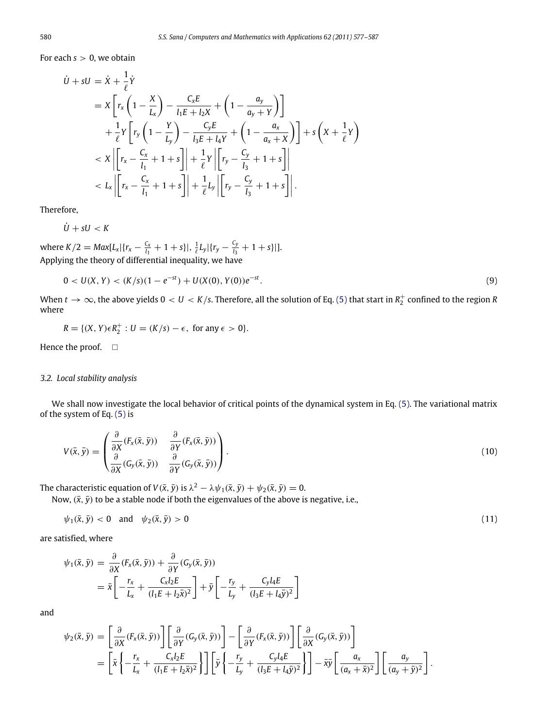For each  $s > 0$ , we obtain

$$
\dot{U} + sU = \dot{X} + \frac{1}{\ell} \dot{Y}
$$
\n
$$
= X \left[ r_x \left( 1 - \frac{X}{L_x} \right) - \frac{C_x E}{l_1 E + l_2 X} + \left( 1 - \frac{a_y}{a_y + Y} \right) \right]
$$
\n
$$
+ \frac{1}{\ell} Y \left[ r_y \left( 1 - \frac{Y}{L_y} \right) - \frac{C_y E}{l_3 E + l_4 Y} + \left( 1 - \frac{a_x}{a_x + X} \right) \right] + s \left( X + \frac{1}{\ell} Y \right)
$$
\n
$$
< X \left| \left[ r_x - \frac{C_x}{l_1} + 1 + s \right] \right| + \frac{1}{\ell} Y \left| \left[ r_y - \frac{C_y}{l_3} + 1 + s \right] \right|
$$
\n
$$
< L_x \left| \left[ r_x - \frac{C_x}{l_1} + 1 + s \right] \right| + \frac{1}{\ell} L_y \left| \left[ r_y - \frac{C_y}{l_3} + 1 + s \right] \right|.
$$

Therefore,

 $U + sU < K$ 

where  $K/2 = Max[L_x | {r_x - \frac{C_x}{l_1} + 1 + s} ], \frac{1}{\ell}L_y | {r_y - \frac{C_y}{l_3}}$  $\frac{\Delta y}{l_3} + 1 + s$ ||. Applying the theory of differential inequality, we have

$$
0 < U(X, Y) < (K/s)(1 - e^{-st}) + U(X(0), Y(0))e^{-st}.\tag{9}
$$

When  $t\to\infty$ , the above yields  $0 < U < K/s$ . Therefore, all the solution of Eq. [\(5\)](#page-2-2) that start in  $R_2^+$  confined to the region R where

$$
R = \{(X, Y)\in R_2^+ : U = (K/s) - \epsilon, \text{ for any } \epsilon > 0\}.
$$

Hence the proof.  $\square$ 

## *3.2. Local stability analysis*

<span id="page-3-0"></span>∂

We shall now investigate the local behavior of critical points of the dynamical system in Eq. [\(5\).](#page-2-2) The variational matrix of the system of Eq. [\(5\)](#page-2-2) is

$$
V(\bar{x}, \bar{y}) = \begin{pmatrix} \frac{\partial}{\partial X} (F_x(\bar{x}, \bar{y})) & \frac{\partial}{\partial Y} (F_x(\bar{x}, \bar{y})) \\ \frac{\partial}{\partial X} (G_y(\bar{x}, \bar{y})) & \frac{\partial}{\partial Y} (G_y(\bar{x}, \bar{y})) \end{pmatrix} . \tag{10}
$$

The characteristic equation of  $V(\bar{x}, \bar{y})$  is  $\lambda^2 - \lambda \psi_1(\bar{x}, \bar{y}) + \psi_2(\bar{x}, \bar{y}) = 0$ .

Now,  $(\bar{x}, \bar{y})$  to be a stable node if both the eigenvalues of the above is negative, i.e.,

$$
\psi_1(\bar{x}, \bar{y}) < 0 \quad \text{and} \quad \psi_2(\bar{x}, \bar{y}) > 0 \tag{11}
$$

are satisfied, where

$$
\psi_1(\bar{x}, \bar{y}) = \frac{\partial}{\partial X} (F_x(\bar{x}, \bar{y})) + \frac{\partial}{\partial Y} (G_y(\bar{x}, \bar{y}))
$$
  
=  $\bar{x} \left[ -\frac{r_x}{L_x} + \frac{C_x l_2 E}{(l_1 E + l_2 \bar{x})^2} \right] + \bar{y} \left[ -\frac{r_y}{L_y} + \frac{C_y l_4 E}{(l_3 E + l_4 \bar{y})^2} \right]$ 

and

$$
\psi_2(\bar{x}, \bar{y}) = \left[\frac{\partial}{\partial X}(F_x(\bar{x}, \bar{y}))\right] \left[\frac{\partial}{\partial Y}(G_y(\bar{x}, \bar{y}))\right] - \left[\frac{\partial}{\partial Y}(F_x(\bar{x}, \bar{y}))\right] \left[\frac{\partial}{\partial X}(G_y(\bar{x}, \bar{y}))\right]
$$

$$
= \left[\bar{x}\left\{-\frac{r_x}{L_x} + \frac{C_x l_2 E}{(l_1 E + l_2 \bar{x})^2}\right\}\right] \left[\bar{y}\left\{-\frac{r_y}{L_y} + \frac{C_y l_4 E}{(l_3 E + l_4 \bar{y})^2}\right\}\right] - \bar{x}\bar{y}\left[\frac{a_x}{(a_x + \bar{x})^2}\right] \left[\frac{a_y}{(a_y + \bar{y})^2}\right].
$$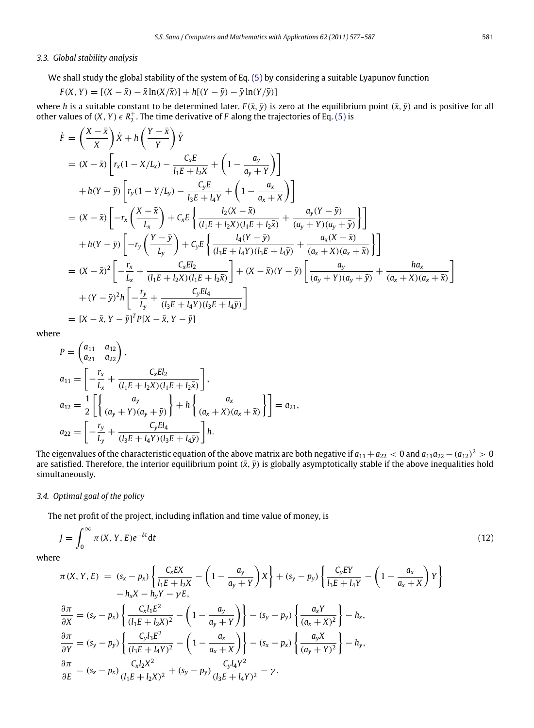## *3.3. Global stability analysis*

We shall study the global stability of the system of Eq. [\(5\)](#page-2-2) by considering a suitable Lyapunov function

$$
F(X, Y) = [(X - \bar{x}) - \bar{x}\ln(X/\bar{x})] + h[(Y - \bar{y}) - \bar{y}\ln(Y/\bar{y})]
$$

where *h* is a suitable constant to be determined later.  $F(\bar{x}, \bar{y})$  is zero at the equilibrium point  $(\bar{x}, \bar{y})$  and is positive for all other values of  $(X, Y) \in R_2^+$ . The time derivative of *F* along the trajectories of Eq. [\(5\)](#page-2-2) is

$$
\dot{F} = \left(\frac{X - \bar{x}}{X}\right) \dot{X} + h\left(\frac{Y - \bar{x}}{Y}\right) \dot{Y}
$$
\n
$$
= (X - \bar{x}) \left[ r_x (1 - X/L_x) - \frac{C_x E}{l_1 E + l_2 X} + \left(1 - \frac{a_y}{a_y + Y}\right) \right]
$$
\n
$$
+ h(Y - \bar{y}) \left[ r_y (1 - Y/L_y) - \frac{C_y E}{l_3 E + l_4 Y} + \left(1 - \frac{a_x}{a_x + X}\right) \right]
$$
\n
$$
= (X - \bar{x}) \left[ -r_x \left(\frac{X - \bar{x}}{L_x}\right) + C_x E \left\{ \frac{l_2 (X - \bar{x})}{(l_1 E + l_2 X)(l_1 E + l_2 \bar{x})} + \frac{a_y (Y - \bar{y})}{(a_y + Y)(a_y + \bar{y})} \right\} \right]
$$
\n
$$
+ h(Y - \bar{y}) \left[ -r_y \left(\frac{Y - \bar{y}}{L_y}\right) + C_y E \left\{ \frac{l_4 (Y - \bar{y})}{(l_3 E + l_4 Y)(l_3 E + l_4 \bar{y})} + \frac{a_x (X - \bar{x})}{(a_x + X)(a_x + \bar{x})} \right\} \right]
$$
\n
$$
= (X - \bar{x})^2 \left[ -\frac{r_x}{L_x} + \frac{C_x E l_2}{(l_1 E + l_2 X)(l_1 E + l_2 \bar{x})} \right] + (X - \bar{x})(Y - \bar{y}) \left[ \frac{a_y}{(a_y + Y)(a_y + \bar{y})} + \frac{ha_x}{(a_x + X)(a_x + \bar{x})} \right]
$$
\n
$$
+ (Y - \bar{y})^2 h \left[ -\frac{r_y}{L_y} + \frac{C_y E l_4}{(l_3 E + l_4 Y)(l_3 E + l_4 \bar{y})} \right]
$$
\n
$$
= [X - \bar{x}, Y - \bar{y}]^T P [X - \bar{x}, Y - \bar{y}]
$$

where

$$
P = \begin{pmatrix} a_{11} & a_{12} \\ a_{21} & a_{22} \end{pmatrix},
$$
  
\n
$$
a_{11} = \begin{bmatrix} -\frac{r_x}{L_x} + \frac{C_x E l_2}{(l_1 E + l_2 X)(l_1 E + l_2 \bar{x})} \end{bmatrix},
$$
  
\n
$$
a_{12} = \frac{1}{2} \left[ \left\{ \frac{a_y}{(a_y + Y)(a_y + \bar{y})} \right\} + h \left\{ \frac{a_x}{(a_x + X)(a_x + \bar{x})} \right\} \right] = a_{21},
$$
  
\n
$$
a_{22} = \begin{bmatrix} -\frac{r_y}{L_y} + \frac{C_y E l_4}{(l_3 E + l_4 Y)(l_3 E + l_4 \bar{y})} \end{bmatrix} h.
$$

The eigenvalues of the characteristic equation of the above matrix are both negative if  $a_{11}+a_{22}<$  0 and  $a_{11}a_{22}-(a_{12})^2>0$ are satisfied. Therefore, the interior equilibrium point  $(\bar{x}, \bar{y})$  is globally asymptotically stable if the above inequalities hold simultaneously.

## *3.4. Optimal goal of the policy*

The net profit of the project, including inflation and time value of money, is

$$
J = \int_0^\infty \pi(X, Y, E)e^{-\delta t}dt
$$
\n(12)

where

$$
\pi(X, Y, E) = (s_x - p_x) \left\{ \frac{C_x EX}{l_1 E + l_2 X} - \left( 1 - \frac{a_y}{a_y + Y} \right) X \right\} + (s_y - p_y) \left\{ \frac{C_y EY}{l_3 E + l_4 Y} - \left( 1 - \frac{a_x}{a_x + X} \right) Y \right\} \n- h_x X - h_y Y - \gamma E,
$$
\n
$$
\frac{\partial \pi}{\partial X} = (s_x - p_x) \left\{ \frac{C_x l_1 E^2}{(l_1 E + l_2 X)^2} - \left( 1 - \frac{a_y}{a_y + Y} \right) \right\} - (s_y - p_y) \left\{ \frac{a_x Y}{(a_x + X)^2} \right\} - h_x,
$$
\n
$$
\frac{\partial \pi}{\partial Y} = (s_y - p_y) \left\{ \frac{C_y l_3 E^2}{(l_3 E + l_4 Y)^2} - \left( 1 - \frac{a_x}{a_x + X} \right) \right\} - (s_x - p_x) \left\{ \frac{a_y X}{(a_y + Y)^2} \right\} - h_y,
$$
\n
$$
\frac{\partial \pi}{\partial E} = (s_x - p_x) \frac{C_x l_2 X^2}{(l_1 E + l_2 X)^2} + (s_y - p_y) \frac{C_y l_4 Y^2}{(l_3 E + l_4 Y)^2} - \gamma.
$$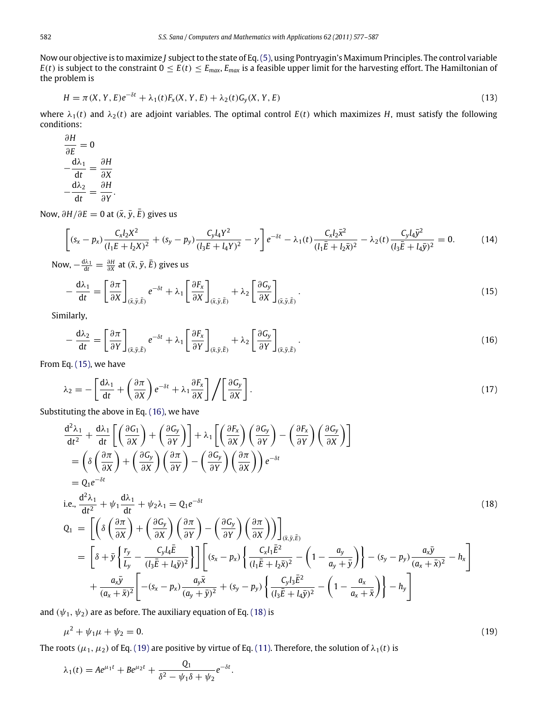Now our objective is to maximize *J* subject to the state of Eq.[\(5\),](#page-2-2) using Pontryagin's Maximum Principles. The control variable *E*(*t*) is subject to the constraint  $0 \le E(t) \le E_{max}$ ,  $E_{max}$  is a feasible upper limit for the harvesting effort. The Hamiltonian of the problem is

$$
H = \pi(X, Y, E)e^{-\delta t} + \lambda_1(t)F_x(X, Y, E) + \lambda_2(t)G_y(X, Y, E)
$$
\n(13)

where  $\lambda_1(t)$  and  $\lambda_2(t)$  are adjoint variables. The optimal control  $E(t)$  which maximizes *H*, must satisfy the following conditions:

$$
\frac{\partial H}{\partial E} = 0
$$
  

$$
-\frac{d\lambda_1}{dt} = \frac{\partial H}{\partial X}
$$
  

$$
-\frac{d\lambda_2}{dt} = \frac{\partial H}{\partial Y}.
$$

∂*H*

Now,  $\partial H / \partial E = 0$  at  $(\bar{x}, \bar{y}, \bar{E})$  gives us

$$
\left[ (s_x - p_x) \frac{C_x l_2 X^2}{(l_1 E + l_2 X)^2} + (s_y - p_y) \frac{C_y l_4 Y^2}{(l_3 E + l_4 Y)^2} - \gamma \right] e^{-\delta t} - \lambda_1(t) \frac{C_x l_2 \bar{x}^2}{(l_1 \bar{E} + l_2 \bar{x})^2} - \lambda_2(t) \frac{C_y l_4 \bar{y}^2}{(l_3 \bar{E} + l_4 \bar{y})^2} = 0. \tag{14}
$$

Now,  $-\frac{d\lambda_1}{dt} = \frac{\partial H}{\partial x}$  at  $(\bar{x}, \bar{y}, \bar{E})$  gives us

$$
-\frac{d\lambda_1}{dt} = \left[\frac{\partial \pi}{\partial X}\right]_{(\bar{x},\bar{y},\bar{E})} e^{-\delta t} + \lambda_1 \left[\frac{\partial F_x}{\partial X}\right]_{(\bar{x},\bar{y},\bar{E})} + \lambda_2 \left[\frac{\partial G_y}{\partial X}\right]_{(\bar{x},\bar{y},\bar{E})}.
$$
(15)

Similarly,

$$
-\frac{d\lambda_2}{dt} = \left[\frac{\partial \pi}{\partial Y}\right]_{(\bar{x}, \bar{y}, \bar{E})} e^{-\delta t} + \lambda_1 \left[\frac{\partial F_x}{\partial Y}\right]_{(\bar{x}, \bar{y}, \bar{E})} + \lambda_2 \left[\frac{\partial G_y}{\partial Y}\right]_{(\bar{x}, \bar{y}, \bar{E})}.
$$
(16)

From Eq. [\(15\),](#page-5-0) we have

$$
\lambda_2 = -\left[\frac{d\lambda_1}{dt} + \left(\frac{\partial \pi}{\partial X}\right)e^{-\delta t} + \lambda_1 \frac{\partial F_x}{\partial X}\right] / \left[\frac{\partial G_y}{\partial X}\right].
$$
\n(17)

Substituting the above in Eq. [\(16\),](#page-5-1) we have

$$
\frac{d^2\lambda_1}{dt^2} + \frac{d\lambda_1}{dt} \left[ \left( \frac{\partial G_1}{\partial X} \right) + \left( \frac{\partial G_y}{\partial Y} \right) \right] + \lambda_1 \left[ \left( \frac{\partial F_x}{\partial X} \right) \left( \frac{\partial G_y}{\partial Y} \right) - \left( \frac{\partial F_x}{\partial Y} \right) \left( \frac{\partial G_y}{\partial X} \right) \right]
$$
\n
$$
= \left( \delta \left( \frac{\partial \pi}{\partial X} \right) + \left( \frac{\partial G_y}{\partial X} \right) \left( \frac{\partial \pi}{\partial Y} \right) - \left( \frac{\partial G_y}{\partial Y} \right) \left( \frac{\partial \pi}{\partial X} \right) \right) e^{-\delta t}
$$
\n
$$
= Q_1 e^{-\delta t}
$$
\ni.e., 
$$
\frac{d^2\lambda_1}{dt^2} + \psi_1 \frac{d\lambda_1}{dt} + \psi_2 \lambda_1 = Q_1 e^{-\delta t}
$$
\n
$$
Q_1 = \left[ \left( \delta \left( \frac{\partial \pi}{\partial X} \right) + \left( \frac{\partial G_y}{\partial X} \right) \left( \frac{\partial \pi}{\partial Y} \right) - \left( \frac{\partial G_y}{\partial Y} \right) \left( \frac{\partial \pi}{\partial X} \right) \right) \right]_{(\bar{x}, \bar{y}, \bar{E})}
$$
\n
$$
= \left[ \delta + \bar{y} \left\{ \frac{r_y}{L_y} - \frac{C_y l_4 \bar{E}}{(l_3 \bar{E} + l_4 \bar{y})^2} \right\} \right] \left[ (s_x - p_x) \left\{ \frac{C_x l_1 \bar{E}^2}{(l_1 \bar{E} + l_2 \bar{x})^2} - \left( 1 - \frac{a_y}{a_y + \bar{y}} \right) \right\} - (s_y - p_y) \frac{a_x \bar{y}}{(a_x + \bar{x})^2} - h_x \right]
$$
\n
$$
+ \frac{a_x \bar{y}}{(a_x + \bar{x})^2} \left[ - (s_x - p_x) \frac{a_y \bar{x}}{(a_y + \bar{y})^2} + (s_y - p_y) \left\{ \frac{C_y l_3 \bar{E}^2}{(l_3 \bar{E} + l
$$

and  $(\psi_1, \psi_2)$  are as before. The auxiliary equation of Eq. [\(18\)](#page-5-2) is

$$
\mu^2 + \psi_1 \mu + \psi_2 = 0. \tag{19}
$$

The roots ( $\mu_1$ ,  $\mu_2$ ) of Eq. [\(19\)](#page-5-3) are positive by virtue of Eq. [\(11\).](#page-3-0) Therefore, the solution of  $\lambda_1(t)$  is

.

$$
\lambda_1(t) = Ae^{\mu_1 t} + Be^{\mu_2 t} + \frac{Q_1}{\delta^2 - \psi_1 \delta + \psi_2} e^{-\delta t}
$$

<span id="page-5-4"></span><span id="page-5-3"></span><span id="page-5-2"></span><span id="page-5-1"></span><span id="page-5-0"></span>
$$
^{(19)}
$$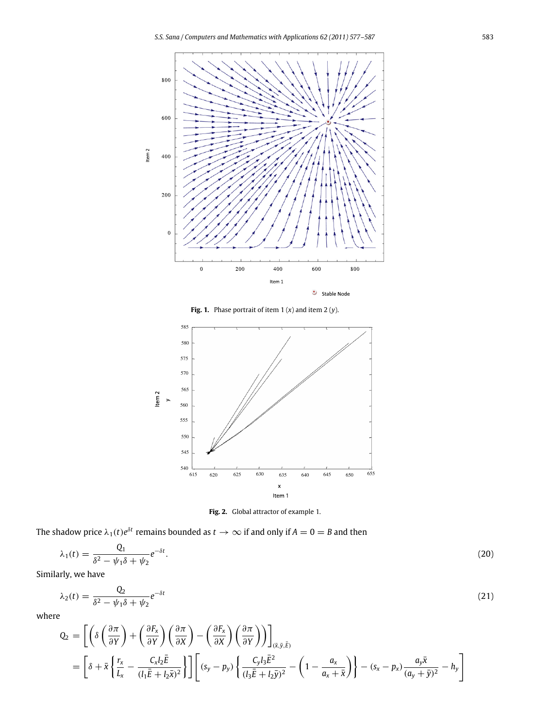<span id="page-6-0"></span>

**Fig. 1.** Phase portrait of item  $1(x)$  and item  $2(y)$ .

<span id="page-6-1"></span>

**Fig. 2.** Global attractor of example 1.

The shadow price  $\lambda_1(t)e^{\delta t}$  remains bounded as  $t\to\infty$  if and only if  $A=0=B$  and then

$$
\lambda_1(t) = \frac{Q_1}{\delta^2 - \psi_1 \delta + \psi_2} e^{-\delta t}.\tag{20}
$$

Similarly, we have

$$
\lambda_2(t) = \frac{Q_2}{\delta^2 - \psi_1 \delta + \psi_2} e^{-\delta t} \tag{21}
$$

where

$$
Q_2 = \left[ \left( \delta \left( \frac{\partial \pi}{\partial Y} \right) + \left( \frac{\partial F_x}{\partial Y} \right) \left( \frac{\partial \pi}{\partial X} \right) - \left( \frac{\partial F_x}{\partial X} \right) \left( \frac{\partial \pi}{\partial Y} \right) \right) \right]_{(\bar{x}, \bar{y}, \bar{E})}
$$
  
= 
$$
\left[ \delta + \bar{x} \left\{ \frac{r_x}{L_x} - \frac{C_x l_2 \bar{E}}{(l_1 \bar{E} + l_2 \bar{x})^2} \right\} \right] \left[ (s_y - p_y) \left\{ \frac{C_y l_3 \bar{E}^2}{(l_3 \bar{E} + l_2 \bar{y})^2} - \left( 1 - \frac{a_x}{a_x + \bar{x}} \right) \right\} - (s_x - p_x) \frac{a_y \bar{x}}{(a_y + \bar{y})^2} - h_y \right]
$$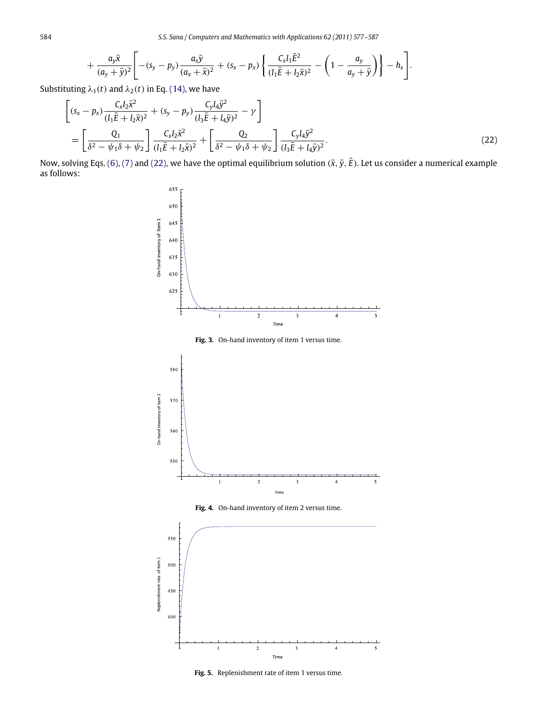$$
+\frac{a_y\bar{x}}{(a_y+\bar{y})^2}\Bigg[-(s_y-p_y)\frac{a_x\bar{y}}{(a_x+\bar{x})^2}+(s_x-p_x)\left\{\frac{C_xl_1\bar{E}^2}{(l_1\bar{E}+l_2\bar{x})^2}-\left(1-\frac{a_y}{a_y+\bar{y}}\right)\right\}-h_x\Bigg].
$$

Substituting  $\lambda_1(t)$  and  $\lambda_2(t)$  in Eq. [\(14\),](#page-5-4) we have

$$
\begin{aligned}\n&\left[ (s_x - p_x) \frac{C_x l_2 \bar{x}^2}{(l_1 \bar{E} + l_2 \bar{x})^2} + (s_y - p_y) \frac{C_y l_4 \bar{y}^2}{(l_3 \bar{E} + l_4 \bar{y})^2} - \gamma \right] \\
&= \left[ \frac{Q_1}{\delta^2 - \psi_1 \delta + \psi_2} \right] \frac{C_x l_2 \bar{x}^2}{(l_1 \bar{E} + l_2 \bar{x})^2} + \left[ \frac{Q_2}{\delta^2 - \psi_1 \delta + \psi_2} \right] \frac{C_y l_4 \bar{y}^2}{(l_3 \bar{E} + l_4 \bar{y})^2}.\n\end{aligned} \tag{22}
$$

<span id="page-7-1"></span>Now, solving Eqs. [\(6\),](#page-2-0) [\(7\)](#page-2-1) and [\(22\),](#page-7-0) we have the optimal equilibrium solution  $(\bar{x}, \bar{y}, \bar{E})$ . Let us consider a numerical example as follows:

<span id="page-7-0"></span>

Fig. 3. On-hand inventory of item 1 versus time.







**Fig. 5.** Replenishment rate of item 1 versus time.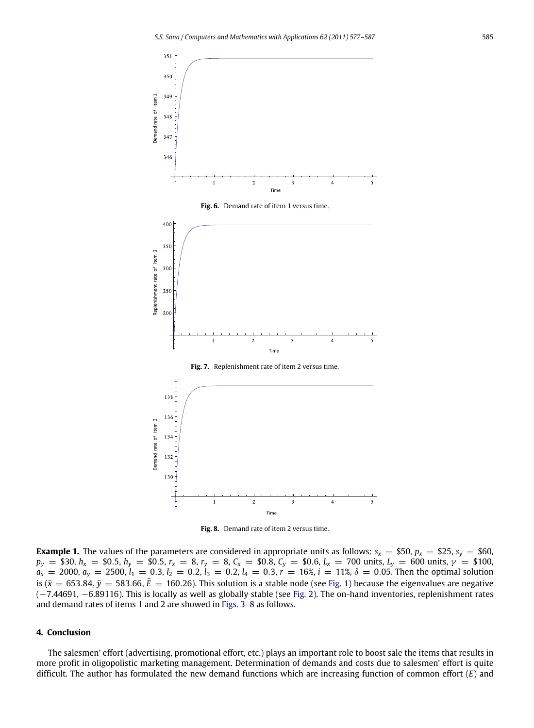





**Fig. 8.** Demand rate of item 2 versus time.

**Example 1.** The values of the parameters are considered in appropriate units as follows:  $s_x = $50$ ,  $p_x = $25$ ,  $s_y = $60$ ,  $p_y =$  \$30,  $h_x =$  \$0.5,  $h_y =$  \$0.5,  $r_x =$  8,  $r_y =$  8,  $C_x =$  \$0.8,  $C_y =$  \$0.6,  $L_x =$  700 units,  $L_y =$  600 units,  $\gamma =$  \$100,  $a_x = 2000$ ,  $a_y = 2500$ ,  $l_1 = 0.3$ ,  $l_2 = 0.2$ ,  $l_3 = 0.2$ ,  $l_4 = 0.3$ ,  $r = 16$ %,  $i = 11$ %,  $\delta = 0.05$ . Then the optimal solution is ( $\bar{x}$  = 653.84,  $\bar{y}$  = 583.66,  $\bar{E}$  = 160.26). This solution is a stable node (see [Fig. 1\)](#page-6-0) because the eigenvalues are negative (−7.44691, −6.89116). This is locally as well as globally stable (see [Fig. 2\)](#page-6-1). The on-hand inventories, replenishment rates and demand rates of items 1 and 2 are showed in [Figs. 3–8](#page-7-1) as follows.

#### **4. Conclusion**

The salesmen' effort (advertising, promotional effort, etc.) plays an important role to boost sale the items that results in more profit in oligopolistic marketing management. Determination of demands and costs due to salesmen' effort is quite difficult. The author has formulated the new demand functions which are increasing function of common effort (*E*) and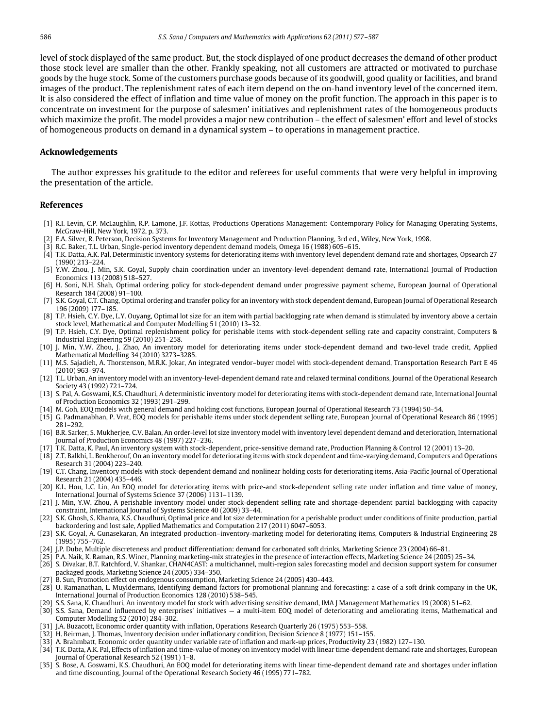level of stock displayed of the same product. But, the stock displayed of one product decreases the demand of other product those stock level are smaller than the other. Frankly speaking, not all customers are attracted or motivated to purchase goods by the huge stock. Some of the customers purchase goods because of its goodwill, good quality or facilities, and brand images of the product. The replenishment rates of each item depend on the on-hand inventory level of the concerned item. It is also considered the effect of inflation and time value of money on the profit function. The approach in this paper is to concentrate on investment for the purpose of salesmen' initiatives and replenishment rates of the homogeneous products which maximize the profit. The model provides a major new contribution – the effect of salesmen' effort and level of stocks of homogeneous products on demand in a dynamical system – to operations in management practice.

#### **Acknowledgements**

The author expresses his gratitude to the editor and referees for useful comments that were very helpful in improving the presentation of the article.

## **References**

- <span id="page-9-0"></span>[1] R.I. Levin, C.P. McLaughlin, R.P. Lamone, J.F. Kottas, Productions Operations Management: Contemporary Policy for Managing Operating Systems, McGraw-Hill, New York, 1972, p. 373.
- <span id="page-9-1"></span>[2] E.A. Silver, R. Peterson, Decision Systems for Inventory Management and Production Planning, 3rd ed., Wiley, New York, 1998.
- <span id="page-9-2"></span>[3] R.C. Baker, T.L. Urban, Single-period inventory dependent demand models, Omega 16 (1988) 605–615.
- <span id="page-9-3"></span>[4] T.K. Datta, A.K. Pal, Deterministic inventory systems for deteriorating items with inventory level dependent demand rate and shortages, Opsearch 27 (1990) 213–224.
- <span id="page-9-4"></span>[5] Y.W. Zhou, J. Min, S.K. Goyal, Supply chain coordination under an inventory-level-dependent demand rate, International Journal of Production Economics 113 (2008) 518–527.
- <span id="page-9-5"></span>[6] H. Soni, N.H. Shah, Optimal ordering policy for stock-dependent demand under progressive payment scheme, European Journal of Operational Research 184 (2008) 91–100.
- <span id="page-9-6"></span>[7] S.K. Goyal, C.T. Chang, Optimal ordering and transfer policy for an inventory with stock dependent demand, European Journal of Operational Research 196 (2009) 177–185.
- <span id="page-9-7"></span>[8] T.P. Hsieh, C.Y. Dye, L.Y. Ouyang, Optimal lot size for an item with partial backlogging rate when demand is stimulated by inventory above a certain stock level, Mathematical and Computer Modelling 51 (2010) 13–32.
- <span id="page-9-8"></span>[9] T.P. Hsieh, C.Y. Dye, Optimal replenishment policy for perishable items with stock-dependent selling rate and capacity constraint, Computers & Industrial Engineering 59 (2010) 251–258. [10] J. Min, Y.W. Zhou, J. Zhao, An inventory model for deteriorating items under stock-dependent demand and two-level trade credit, Applied
- <span id="page-9-9"></span>Mathematical Modelling 34 (2010) 3273–3285.
- <span id="page-9-10"></span>[11] M.S. Sajadieh, A. Thorstenson, M.R.K. Jokar, An integrated vendor–buyer model with stock-dependent demand, Transportation Research Part E 46 (2010) 963–974.
- <span id="page-9-11"></span>[12] T.L. Urban, An inventory model with an inventory-level-dependent demand rate and relaxed terminal conditions, Journal of the Operational Research Society 43 (1992) 721–724.
- <span id="page-9-12"></span>[13] S. Pal, A. Goswami, K.S. Chaudhuri, A deterministic inventory model for deteriorating items with stock-dependent demand rate, International Journal of Production Economics 32 (1993) 291–299.
- <span id="page-9-13"></span>[14] M. Goh, EOQ models with general demand and holding cost functions, European Journal of Operational Research 73 (1994) 50–54.
- <span id="page-9-14"></span>[15] G. Padmanabhan, P. Vrat, EOQ models for perishable items under stock dependent selling rate, European Journal of Operational Research 86 (1995) 281–292.
- <span id="page-9-15"></span>[16] B.R. Sarker, S. Mukherjee, C.V. Balan, An order-level lot size inventory model with inventory level dependent demand and deterioration, International Journal of Production Economics 48 (1997) 227–236.
- <span id="page-9-16"></span>[17] T.K. Datta, K. Paul, An inventory system with stock-dependent, price-sensitive demand rate, Production Planning & Control 12 (2001) 13–20.
- <span id="page-9-17"></span>[18] Z.T. Balkhi, L. Benkherouf, On an inventory model for deteriorating items with stock dependent and time-varying demand, Computers and Operations Research 31 (2004) 223–240.
- <span id="page-9-18"></span>[19] C.T. Chang, Inventory models with stock-dependent demand and nonlinear holding costs for deteriorating items, Asia-Pacific Journal of Operational Research 21 (2004) 435–446.
- <span id="page-9-19"></span>[20] K.L. Hou, L.C. Lin, An EOQ model for deteriorating items with price-and stock-dependent selling rate under inflation and time value of money, International Journal of Systems Science 37 (2006) 1131–1139.
- <span id="page-9-20"></span>[21] J. Min, Y.W. Zhou, A perishable inventory model under stock-dependent selling rate and shortage-dependent partial backlogging with capacity constraint, International Journal of Systems Science 40 (2009) 33–44.
- <span id="page-9-21"></span>[22] S.K. Ghosh, S. Khanra, K.S. Chaudhuri, Optimal price and lot size determination for a perishable product under conditions of finite production, partial backordering and lost sale, Applied Mathematics and Computation 217 (2011) 6047–6053.
- <span id="page-9-22"></span>[23] S.K. Goyal, A. Gunasekaran, An integrated production–inventory-marketing model for deteriorating items, Computers & Industrial Engineering 28 (1995) 755–762.
- <span id="page-9-23"></span>[24] J.P. Dube, Multiple discreteness and product differentiation: demand for carbonated soft drinks, Marketing Science 23 (2004) 66–81.
- [25] P.A. Naik, K. Raman, R.S. Winer, Planning marketing-mix strategies in the presence of interaction effects, Marketing Science 24 (2005) 25–34.
- <span id="page-9-25"></span>[26] S. Divakar, B.T. Ratchford, V. Shankar, CHAN4CAST: a multichannel, multi-region sales forecasting model and decision support system for consumer packaged goods, Marketing Science 24 (2005) 334–350.
- <span id="page-9-24"></span>[27] B. Sun, Promotion effect on endogenous consumption, Marketing Science 24 (2005) 430–443.
- <span id="page-9-26"></span>[28] U. Ramanathan, L. Muyldermans, Identifying demand factors for promotional planning and forecasting: a case of a soft drink company in the UK, International Journal of Production Economics 128 (2010) 538–545.
- <span id="page-9-27"></span>[29] S.S. Sana, K. Chaudhuri, An inventory model for stock with advertising sensitive demand, IMA J Management Mathematics 19 (2008) 51–62.
- <span id="page-9-28"></span>[30] S.S. Sana, Demand influenced by enterprises' initiatives — a multi-item EOQ model of deteriorating and ameliorating items, Mathematical and Computer Modelling 52 (2010) 284–302.
- <span id="page-9-29"></span>[31] J.A. Buzacott, Economic order quantity with inflation, Operations Research Quarterly 26 (1975) 553–558.
- <span id="page-9-30"></span>[32] H. Beirman, J. Thomas, Inventory decision under inflationary condition, Decision Science 8 (1977) 151–155.
- <span id="page-9-31"></span>[33] A. Brahmbatt, Economic order quantity under variable rate of inflation and mark-up prices, Productivity 23 (1982) 127–130.
- <span id="page-9-32"></span>[34] T.K. Datta, A.K. Pal, Effects of inflation and time-value of money on inventory model with linear time-dependent demand rate and shortages, European Journal of Operational Research 52 (1991) 1–8.
- <span id="page-9-33"></span>[35] S. Bose, A. Goswami, K.S. Chaudhuri, An EOQ model for deteriorating items with linear time-dependent demand rate and shortages under inflation and time discounting, Journal of the Operational Research Society 46 (1995) 771–782.